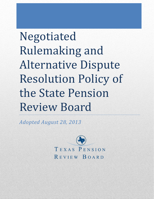Negotiated Rulemaking and Alternative Dispute Resolution Policy of the State Pension Review Board

*Adopted August 28, 2013*